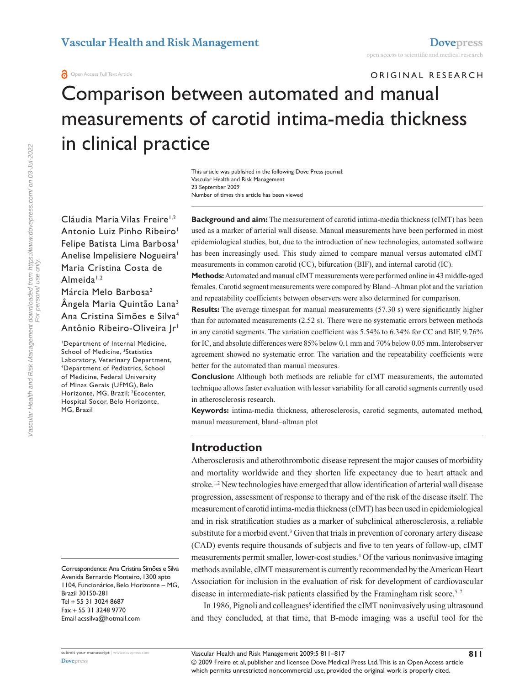ORIGINAL RESEARCH

# Comparison between automated and manual measurements of carotid intima-media thickness in clinical practice

Number of times this article has been viewed This article was published in the following Dove Press journal: Vascular Health and Risk Management 23 September 2009

Cláudia Maria Vilas Freire<sup>1,2</sup> Antonio Luiz Pinho Ribeiro<sup>1</sup> Felipe Batista Lima Barbosa<sup>1</sup> Anelise Impelisiere Nogueira<sup>1</sup> Maria Cristina Costa de Almeida<sup>1,2</sup>

Márcia Melo Barbosa2 Ângela Maria Quintão Lana<sup>3</sup> Ana Cristina Simões e Silva4 Antônio Ribeiro-Oliveira Jr<sup>1</sup>

1 Department of Internal Medicine, School of Medicine, <sup>3</sup>Statistics Laboratory, Veterinary Department, 4 Department of Pediatrics, School of Medicine, Federal University of Minas Gerais (UFMG), Belo Horizonte, MG, Brazil; <sup>2</sup>Ecocenter, Hospital Socor, Belo Horizonte, MG, Brazil

Correspondence: Ana Cristina Simões e Silva Avenida Bernardo Monteiro, 1300 apto 1104, Funcionários, Belo Horizonte – MG, Brazil 30150-281 Tel + 55 31 3024 8687 Fax + 55 31 3248 9770 Email acssilva@hotmail.com

**Background and aim:** The measurement of carotid intima-media thickness (cIMT) has been used as a marker of arterial wall disease. Manual measurements have been performed in most epidemiological studies, but, due to the introduction of new technologies, automated software has been increasingly used. This study aimed to compare manual versus automated cIMT measurements in common carotid (CC), bifurcation (BIF), and internal carotid (IC).

**Methods:** Automated and manual cIMT measurements were performed online in 43 middle-aged females. Carotid segment measurements were compared by Bland–Altman plot and the variation and repeatability coefficients between observers were also determined for comparison.

**Results:** The average timespan for manual measurements (57.30 s) were significantly higher than for automated measurements (2.52 s). There were no systematic errors between methods in any carotid segments. The variation coefficient was 5.54% to 6.34% for CC and BIF, 9.76% for IC, and absolute differences were 85% below 0.1 mm and 70% below 0.05 mm. Interobserver agreement showed no systematic error. The variation and the repeatability coefficients were better for the automated than manual measures.

**Conclusion:** Although both methods are reliable for cIMT measurements, the automated technique allows faster evaluation with lesser variability for all carotid segments currently used in atherosclerosis research.

**Keywords:** intima-media thickness, atherosclerosis, carotid segments, automated method, manual measurement, bland–altman plot

## **Introduction**

Atherosclerosis and atherothrombotic disease represent the major causes of morbidity and mortality worldwide and they shorten life expectancy due to heart attack and stroke.<sup>1,2</sup> New technologies have emerged that allow identification of arterial wall disease progression, assessment of response to therapy and of the risk of the disease itself. The measurement of carotid intima-media thickness (cIMT) has been used in epidemiological and in risk stratification studies as a marker of subclinical atherosclerosis, a reliable substitute for a morbid event.<sup>3</sup> Given that trials in prevention of coronary artery disease (CAD) events require thousands of subjects and five to ten years of follow-up, cIMT measurements permit smaller, lower-cost studies.4 Of the various noninvasive imaging methods available, cIMT measurement is currently recommended by the American Heart Association for inclusion in the evaluation of risk for development of cardiovascular disease in intermediate-risk patients classified by the Framingham risk score.<sup>5-7</sup>

In 1986, Pignoli and colleagues<sup>8</sup> identified the cIMT noninvasively using ultrasound and they concluded, at that time, that B-mode imaging was a useful tool for the

© 2009 Freire et al, publisher and licensee Dove Medical Press Ltd. This is an Open Access article which permits unrestricted noncommercial use, provided the original work is properly cited.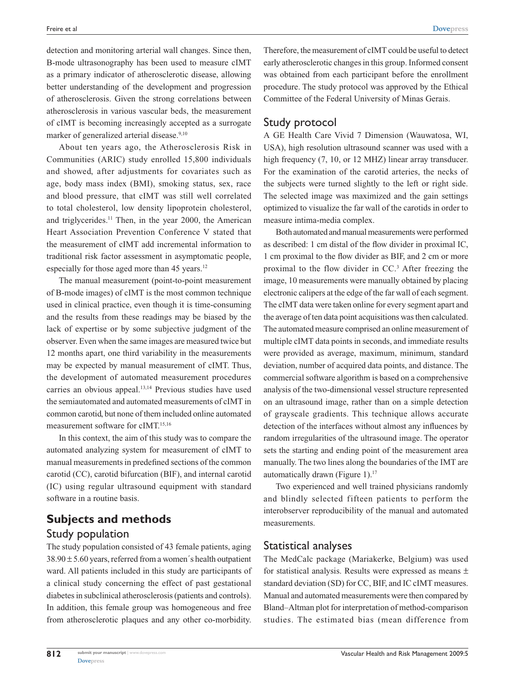detection and monitoring arterial wall changes. Since then, B-mode ultrasonography has been used to measure cIMT as a primary indicator of atherosclerotic disease, allowing better understanding of the development and progression of atherosclerosis. Given the strong correlations between atherosclerosis in various vascular beds, the measurement of cIMT is becoming increasingly accepted as a surrogate marker of generalized arterial disease.<sup>9,10</sup>

About ten years ago, the Atherosclerosis Risk in Communities (ARIC) study enrolled 15,800 individuals and showed, after adjustments for covariates such as age, body mass index (BMI), smoking status, sex, race and blood pressure, that cIMT was still well correlated to total cholesterol, low density lipoprotein cholesterol, and triglycerides.<sup>11</sup> Then, in the year 2000, the American Heart Association Prevention Conference V stated that the measurement of cIMT add incremental information to traditional risk factor assessment in asymptomatic people, especially for those aged more than 45 years.<sup>12</sup>

The manual measurement (point-to-point measurement of B-mode images) of cIMT is the most common technique used in clinical practice, even though it is time-consuming and the results from these readings may be biased by the lack of expertise or by some subjective judgment of the observer. Even when the same images are measured twice but 12 months apart, one third variability in the measurements may be expected by manual measurement of cIMT. Thus, the development of automated measurement procedures carries an obvious appeal.<sup>13,14</sup> Previous studies have used the semiautomated and automated measurements of cIMT in common carotid, but none of them included online automated measurement software for cIMT.15,16

In this context, the aim of this study was to compare the automated analyzing system for measurement of cIMT to manual measurements in predefined sections of the common carotid (CC), carotid bifurcation (BIF), and internal carotid (IC) using regular ultrasound equipment with standard software in a routine basis.

## **Subjects and methods** Study population

The study population consisted of 43 female patients, aging  $38.90 \pm 5.60$  years, referred from a women's health outpatient ward. All patients included in this study are participants of a clinical study concerning the effect of past gestational diabetes in subclinical atherosclerosis (patients and controls). In addition, this female group was homogeneous and free from atherosclerotic plaques and any other co-morbidity.

Therefore, the measurement of cIMT could be useful to detect early atherosclerotic changes in this group. Informed consent was obtained from each participant before the enrollment procedure. The study protocol was approved by the Ethical Committee of the Federal University of Minas Gerais.

## Study protocol

A GE Health Care Vivid 7 Dimension (Wauwatosa, WI, USA), high resolution ultrasound scanner was used with a high frequency  $(7, 10, \text{or } 12 \text{ MHz})$  linear array transducer. For the examination of the carotid arteries, the necks of the subjects were turned slightly to the left or right side. The selected image was maximized and the gain settings optimized to visualize the far wall of the carotids in order to measure intima-media complex.

Both automated and manual measurements were performed as described: 1 cm distal of the flow divider in proximal IC, 1 cm proximal to the flow divider as BIF, and 2 cm or more proximal to the flow divider in CC.<sup>3</sup> After freezing the image, 10 measurements were manually obtained by placing electronic calipers at the edge of the far wall of each segment. The cIMT data were taken online for every segment apart and the average of ten data point acquisitions was then calculated. The automated measure comprised an online measurement of multiple cIMT data points in seconds, and immediate results were provided as average, maximum, minimum, standard deviation, number of acquired data points, and distance. The commercial software algorithm is based on a comprehensive analysis of the two-dimensional vessel structure represented on an ultrasound image, rather than on a simple detection of grayscale gradients. This technique allows accurate detection of the interfaces without almost any influences by random irregularities of the ultrasound image. The operator sets the starting and ending point of the measurement area manually. The two lines along the boundaries of the IMT are automatically drawn (Figure 1).<sup>17</sup>

Two experienced and well trained physicians randomly and blindly selected fifteen patients to perform the interobserver reproducibility of the manual and automated measurements.

### Statistical analyses

The MedCalc package (Mariakerke, Belgium) was used for statistical analysis. Results were expressed as means ± standard deviation (SD) for CC, BIF, and IC cIMT measures. Manual and automated measurements were then compared by Bland–Altman plot for interpretation of method-comparison studies. The estimated bias (mean difference from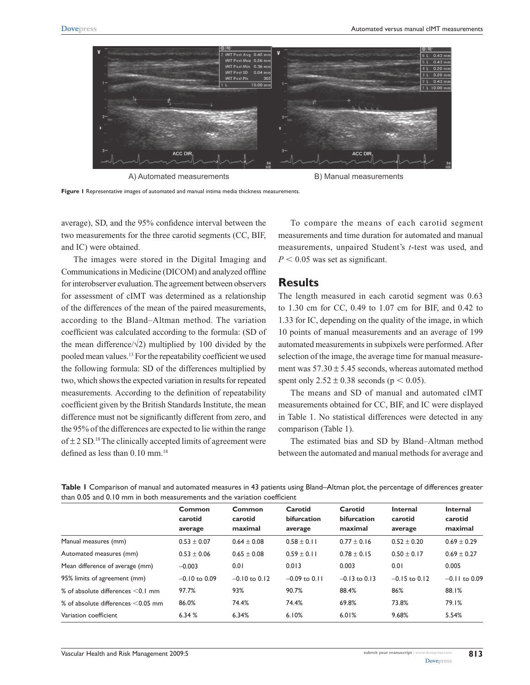

A) Automated measurements B) Manual measurements

**Figure 1** Representative images of automated and manual intima media thickness measurements.

average), SD, and the 95% confidence interval between the two measurements for the three carotid segments (CC, BIF, and IC) were obtained.

The images were stored in the Digital Imaging and Communications in Medicine (DICOM) and analyzed offline for interobserver evaluation. The agreement between observers for assessment of cIMT was determined as a relationship of the differences of the mean of the paired measurements, according to the Bland–Altman method. The variation coefficient was calculated according to the formula: (SD of the mean difference/ $\sqrt{2}$ ) multiplied by 100 divided by the pooled mean values.13 For the repeatability coefficient we used the following formula: SD of the differences multiplied by two, which shows the expected variation in results for repeated measurements. According to the definition of repeatability coefficient given by the British Standards Institute, the mean difference must not be significantly different from zero, and the 95% of the differences are expected to lie within the range of  $\pm$  2 SD.<sup>18</sup> The clinically accepted limits of agreement were defined as less than  $0.10$  mm.<sup>18</sup>

To compare the means of each carotid segment measurements and time duration for automated and manual measurements, unpaired Student's *t*-test was used, and  $P < 0.05$  was set as significant.

#### **Results**

The length measured in each carotid segment was 0.63 to 1.30 cm for CC, 0.49 to 1.07 cm for BIF, and 0.42 to 1.33 for IC, depending on the quality of the image, in which 10 points of manual measurements and an average of 199 automated measurements in subpixels were performed. After selection of the image, the average time for manual measurement was  $57.30 \pm 5.45$  seconds, whereas automated method spent only  $2.52 \pm 0.38$  seconds ( $p < 0.05$ ).

The means and SD of manual and automated cIMT measurements obtained for CC, BIF, and IC were displayed in Table 1. No statistical differences were detected in any comparison (Table 1).

The estimated bias and SD by Bland–Altman method between the automated and manual methods for average and

| than 0.03 and 0.10 mill in Doth measurements and the variation coemcient |                              |                              |                                   |                                   |                                       |                                       |  |
|--------------------------------------------------------------------------|------------------------------|------------------------------|-----------------------------------|-----------------------------------|---------------------------------------|---------------------------------------|--|
|                                                                          | Common<br>carotid<br>average | Common<br>carotid<br>maximal | Carotid<br>bifurcation<br>average | Carotid<br>bifurcation<br>maximal | <b>Internal</b><br>carotid<br>average | <b>Internal</b><br>carotid<br>maximal |  |
| Manual measures (mm)                                                     | $0.53 \pm 0.07$              | $0.64 \pm 0.08$              | $0.58 \pm 0.11$                   | $0.77 \pm 0.16$                   | $0.52 \pm 0.20$                       | $0.69 \pm 0.29$                       |  |
| Automated measures (mm)                                                  | $0.53 \pm 0.06$              | $0.65 \pm 0.08$              | $0.59 \pm 0.11$                   | $0.78 \pm 0.15$                   | $0.50 \pm 0.17$                       | $0.69 \pm 0.27$                       |  |
| Mean difference of average (mm)                                          | $-0.003$                     | 0.01                         | 0.013                             | 0.003                             | 0.01                                  | 0.005                                 |  |
| 95% limits of agreement (mm)                                             | $-0.10$ to 0.09              | $-0.10$ to 0.12              | $-0.09$ to 0.11                   | $-0.13$ to 0.13                   | $-0.15$ to 0.12                       | $-0.11$ to 0.09                       |  |
| $%$ of absolute differences $<$ 0.1 mm                                   | 97.7%                        | 93%                          | 90.7%                             | 88.4%                             | 86%                                   | 88.1%                                 |  |
| $\%$ of absolute differences $<$ 0.05 mm                                 | 86.0%                        | 74.4%                        | 74.4%                             | 69.8%                             | 73.8%                                 | 79.1%                                 |  |
| Variation coefficient                                                    | 6.34%                        | 6.34%                        | 6.10%                             | 6.01%                             | 9.68%                                 | 5.54%                                 |  |

**Table 1** Comparison of manual and automated measures in 43 patients using Bland–Altman plot, the percentage of differences greater than 0.05 and 0.10 mm in both measurements and the variation coefficient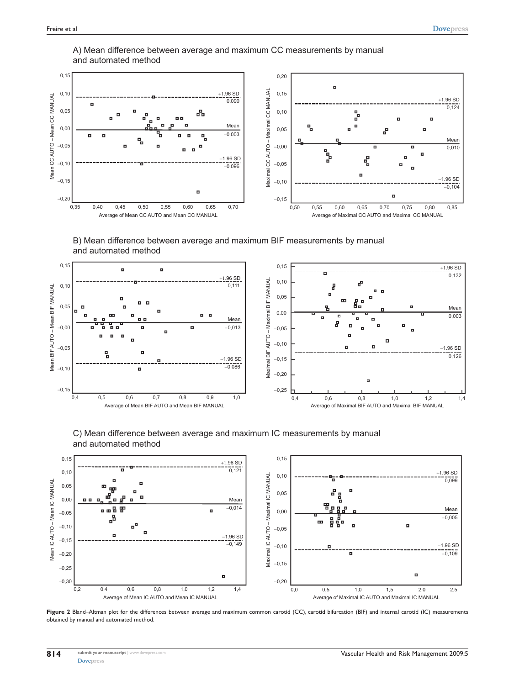

A) Mean difference between average and maximum CC measurements by manual and automated method

B) Mean difference between average and maximum BIF measurements by manual and automated method



#### C) Mean difference between average and maximum IC measurements by manual and automated method



Figure 2 Bland–Altman plot for the differences between average and maximum common carotid (CC), carotid bifurcation (BIF) and internal carotid (IC) measurements obtained by manual and automated method.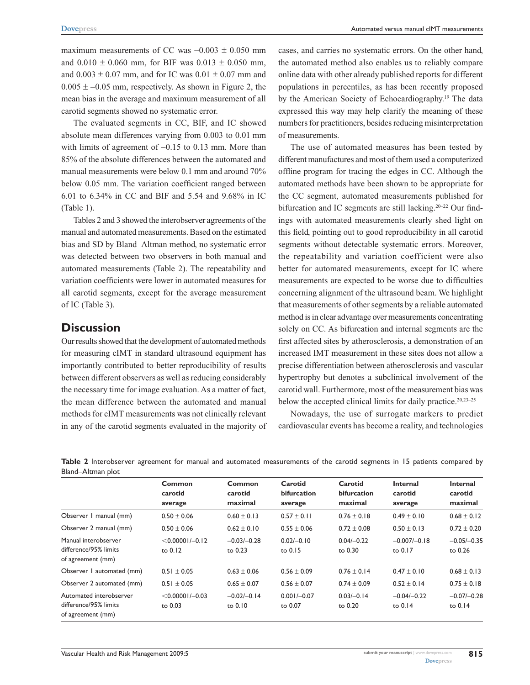maximum measurements of CC was  $-0.003 \pm 0.050$  mm and  $0.010 \pm 0.060$  mm, for BIF was  $0.013 \pm 0.050$  mm, and  $0.003 \pm 0.07$  mm, and for IC was  $0.01 \pm 0.07$  mm and  $0.005 \pm -0.05$  mm, respectively. As shown in Figure 2, the mean bias in the average and maximum measurement of all carotid segments showed no systematic error.

The evaluated segments in CC, BIF, and IC showed absolute mean differences varying from 0.003 to 0.01 mm with limits of agreement of  $-0.15$  to 0.13 mm. More than 85% of the absolute differences between the automated and manual measurements were below 0.1 mm and around 70% below 0.05 mm. The variation coefficient ranged between 6.01 to 6.34% in CC and BIF and 5.54 and 9.68% in IC (Table 1).

Tables 2 and 3 showed the interobserver agreements of the manual and automated measurements. Based on the estimated bias and SD by Bland–Altman method, no systematic error was detected between two observers in both manual and automated measurements (Table 2). The repeatability and variation coefficients were lower in automated measures for all carotid segments, except for the average measurement of IC (Table 3).

## **Discussion**

Our results showed that the development of automated methods for measuring cIMT in standard ultrasound equipment has importantly contributed to better reproducibility of results between different observers as well as reducing considerably the necessary time for image evaluation. As a matter of fact, the mean difference between the automated and manual methods for cIMT measurements was not clinically relevant in any of the carotid segments evaluated in the majority of cases, and carries no systematic errors. On the other hand, the automated method also enables us to reliably compare online data with other already published reports for different populations in percentiles, as has been recently proposed by the American Society of Echocardiography.<sup>19</sup> The data expressed this way may help clarify the meaning of these numbers for practitioners, besides reducing misinterpretation of measurements.

The use of automated measures has been tested by different manufactures and most of them used a computerized offline program for tracing the edges in CC. Although the automated methods have been shown to be appropriate for the CC segment, automated measurements published for bifurcation and IC segments are still lacking.<sup>20–22</sup> Our findings with automated measurements clearly shed light on this field, pointing out to good reproducibility in all carotid segments without detectable systematic errors. Moreover, the repeatability and variation coefficient were also better for automated measurements, except for IC where measurements are expected to be worse due to difficulties concerning alignment of the ultrasound beam. We highlight that measurements of other segments by a reliable automated method is in clear advantage over measurements concentrating solely on CC. As bifurcation and internal segments are the first affected sites by atherosclerosis, a demonstration of an increased IMT measurement in these sites does not allow a precise differentiation between atherosclerosis and vascular hypertrophy but denotes a subclinical involvement of the carotid wall. Furthermore, most of the measurement bias was below the accepted clinical limits for daily practice.<sup>20,23–25</sup>

Nowadays, the use of surrogate markers to predict cardiovascular events has become a reality, and technologies

| più i de l'unima pioc                                                 |                               |                                     |                                   |                                   |                                |                                       |
|-----------------------------------------------------------------------|-------------------------------|-------------------------------------|-----------------------------------|-----------------------------------|--------------------------------|---------------------------------------|
|                                                                       | Common<br>carotid<br>average  | <b>Common</b><br>carotid<br>maximal | Carotid<br>bifurcation<br>average | Carotid<br>bifurcation<br>maximal | Internal<br>carotid<br>average | <b>Internal</b><br>carotid<br>maximal |
| Observer I manual (mm)                                                | $0.50 \pm 0.06$               | $0.60 \pm 0.13$                     | $0.57 \pm 0.11$                   | $0.76 \pm 0.18$                   | $0.49 \pm 0.10$                | $0.68 \pm 0.12$                       |
| Observer 2 manual (mm)                                                | $0.50 \pm 0.06$               | $0.62 \pm 0.10$                     | $0.55 \pm 0.06$                   | $0.72 \pm 0.08$                   | $0.50 \pm 0.13$                | $0.72 \pm 0.20$                       |
| Manual interobserver<br>difference/95% limits<br>of agreement (mm)    | $< 0.00001/-0.12$<br>to 0.12  | $-0.03/-0.28$<br>to 0.23            | $0.02/-0.10$<br>to 0.15           | $0.04/-0.22$<br>to 0.30           | $-0.007/-0.18$<br>to 0.17      | $-0.05/-0.35$<br>to 0.26              |
| Observer I automated (mm)                                             | $0.51 \pm 0.05$               | $0.63 \pm 0.06$                     | $0.56 \pm 0.09$                   | $0.76 \pm 0.14$                   | $0.47 \pm 0.10$                | $0.68 \pm 0.13$                       |
| Observer 2 automated (mm)                                             | $0.51 \pm 0.05$               | $0.65 \pm 0.07$                     | $0.56 \pm 0.07$                   | $0.74 \pm 0.09$                   | $0.52 \pm 0.14$                | $0.75 \pm 0.18$                       |
| Automated interobserver<br>difference/95% limits<br>of agreement (mm) | $<$ 0.0000 I/-0.03<br>to 0.03 | $-0.02/-0.14$<br>to 0.10            | $0.001/-0.07$<br>to 0.07          | $0.03/-0.14$<br>to 0.20           | $-0.04/-0.22$<br>to 0.14       | $-0.07/-0.28$<br>to $0.14$            |

**Table 2** Interobserver agreement for manual and automated measurements of the carotid segments in 15 patients compared by Bland–Altman plot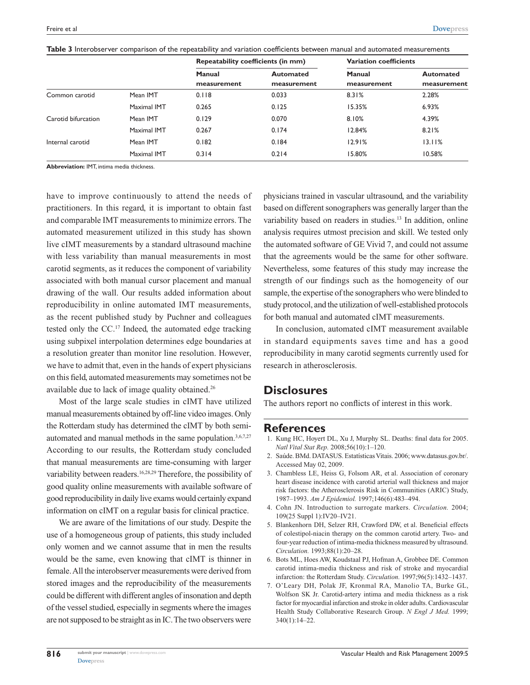|                     |                    | Repeatability coefficients (in mm) |                  | <b>Variation coefficients</b> |                  |
|---------------------|--------------------|------------------------------------|------------------|-------------------------------|------------------|
|                     |                    | <b>Manual</b>                      | <b>Automated</b> | Manual                        | <b>Automated</b> |
|                     |                    | measurement                        | measurement      | measurement                   | measurement      |
| Common carotid      | Mean IMT           | 0.118                              | 0.033            | 8.31%                         | 2.28%            |
|                     | <b>Maximal IMT</b> | 0.265                              | 0.125            | 15.35%                        | 6.93%            |
| Carotid bifurcation | Mean IMT           | 0.129                              | 0.070            | 8.10%                         | 4.39%            |
|                     | Maximal IMT        | 0.267                              | 0.174            | 12.84%                        | 8.21%            |
| Internal carotid    | Mean IMT           | 0.182                              | 0.184            | 12.91%                        | 13.11%           |
|                     | <b>Maximal IMT</b> | 0.314                              | 0.214            | 15.80%                        | 10.58%           |

**Table 3** Interobserver comparison of the repeatability and variation coefficients between manual and automated measurements

**Abbreviation:** IMT, intima media thickness.

have to improve continuously to attend the needs of practitioners. In this regard, it is important to obtain fast and comparable IMT measurements to minimize errors. The automated measurement utilized in this study has shown live cIMT measurements by a standard ultrasound machine with less variability than manual measurements in most carotid segments, as it reduces the component of variability associated with both manual cursor placement and manual drawing of the wall. Our results added information about reproducibility in online automated IMT measurements, as the recent published study by Puchner and colleagues tested only the CC.17 Indeed, the automated edge tracking using subpixel interpolation determines edge boundaries at a resolution greater than monitor line resolution. However, we have to admit that, even in the hands of expert physicians on this field, automated measurements may sometimes not be available due to lack of image quality obtained.26

Most of the large scale studies in cIMT have utilized manual measurements obtained by off-line video images. Only the Rotterdam study has determined the cIMT by both semiautomated and manual methods in the same population.3,6,7,27 According to our results, the Rotterdam study concluded that manual measurements are time-consuming with larger variability between readers.<sup>16,28,29</sup> Therefore, the possibility of good quality online measurements with available software of good reproducibility in daily live exams would certainly expand information on cIMT on a regular basis for clinical practice.

We are aware of the limitations of our study. Despite the use of a homogeneous group of patients, this study included only women and we cannot assume that in men the results would be the same, even knowing that cIMT is thinner in female. All the interobserver measurements were derived from stored images and the reproducibility of the measurements could be different with different angles of insonation and depth of the vessel studied, especially in segments where the images are not supposed to be straight as in IC. The two observers were

physicians trained in vascular ultrasound, and the variability based on different sonographers was generally larger than the variability based on readers in studies.<sup>13</sup> In addition, online analysis requires utmost precision and skill. We tested only the automated software of GE Vivid 7, and could not assume that the agreements would be the same for other software. Nevertheless, some features of this study may increase the strength of our findings such as the homogeneity of our sample, the expertise of the sonographers who were blinded to study protocol, and the utilization of well-established protocols for both manual and automated cIMT measurements.

In conclusion, automated cIMT measurement available in standard equipments saves time and has a good reproducibility in many carotid segments currently used for research in atherosclerosis.

## **Disclosures**

The authors report no conflicts of interest in this work.

## **References**

- 1. Kung HC, Hoyert DL, Xu J, Murphy SL. Deaths: final data for 2005. *Natl Vital Stat Rep.* 2008;56(10):1–120.
- 2. Saúde. BMd. DATASUS. Estatísticas Vitais. 2006; www.datasus.gov.br/. Accessed May 02, 2009.
- 3. Chambless LE, Heiss G, Folsom AR, et al. Association of coronary heart disease incidence with carotid arterial wall thickness and major risk factors: the Atherosclerosis Risk in Communities (ARIC) Study, 1987–1993. *Am J Epidemiol.* 1997;146(6):483–494.
- 4. Cohn JN. Introduction to surrogate markers. *Circulation.* 2004; 109(25 Suppl 1):IV20–IV21.
- 5. Blankenhorn DH, Selzer RH, Crawford DW, et al. Beneficial effects of colestipol-niacin therapy on the common carotid artery. Two- and four-year reduction of intima-media thickness measured by ultrasound. *Circulation.* 1993;88(1):20–28.
- 6. Bots ML, Hoes AW, Koudstaal PJ, Hofman A, Grobbee DE. Common carotid intima-media thickness and risk of stroke and myocardial infarction: the Rotterdam Study. *Circulation.* 1997;96(5):1432–1437.
- 7. O'Leary DH, Polak JF, Kronmal RA, Manolio TA, Burke GL, Wolfson SK Jr. Carotid-artery intima and media thickness as a risk factor for myocardial infarction and stroke in older adults. Cardiovascular Health Study Collaborative Research Group. *N Engl J Med.* 1999; 340(1):14–22.